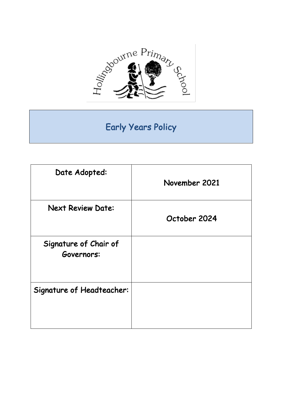

# Early Years Policy

| Date Adopted:                       | November 2021 |
|-------------------------------------|---------------|
| <b>Next Review Date:</b>            | October 2024  |
| Signature of Chair of<br>Governors: |               |
| <b>Signature of Headteacher:</b>    |               |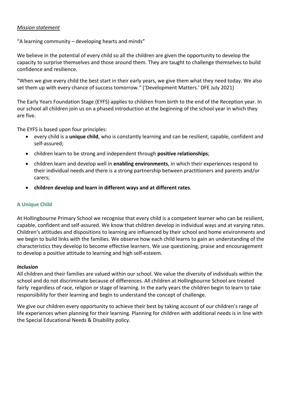#### *Mission statement*

"A learning community – developing hearts and minds"

We believe in the potential of every child so all the children are given the opportunity to develop the capacity to surprise themselves and those around them. They are taught to challenge themselves to build confidence and resilience.

"When we give every child the best start in their early years, we give them what they need today. We also set them up with every chance of success tomorrow*."* ('Development Matters.' DFE July 2021)

The Early Years Foundation Stage (EYFS) applies to children from birth to the end of the Reception year. In our school all children join us on a phased introduction at the beginning of the school year in which they are five.

The EYFS is based upon four principles:

- every child is a **unique child**, who is constantly learning and can be resilient, capable, confident and self-assured;
- children learn to be strong and independent through **positive relationships**;
- children learn and develop well in **enabling environments**, in which their experiences respond to their individual needs and there is a strong partnership between practitioners and parents and/or carers;
- **children develop and learn in different ways and at different rates**.

## **A Unique Child**

At Hollingbourne Primary School we recognise that every child is a competent learner who can be resilient, capable, confident and self-assured. We know that children develop in individual ways and at varying rates. Children's attitudes and dispositions to learning are influenced by their school and home environments and we begin to build links with the families. We observe how each child learns to gain an understanding of the characteristics they develop to become effective learners. We use questioning, praise and encouragement to develop a positive attitude to learning and high self-esteem.

#### *Inclusion*

All children and their families are valued within our school. We value the diversity of individuals within the school and do not discriminate because of differences. All children at Hollingbourne School are treated fairly regardless of race, religion or stage of learning. In the early years the children begin to learn to take responsibility for their learning and begin to understand the concept of challenge.

We give our children every opportunity to achieve their best by taking account of our children's range of life experiences when planning for their learning. Planning for children with additional needs is in line with the Special Educational Needs & Disability policy.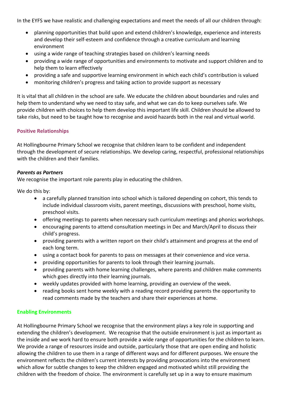In the EYFS we have realistic and challenging expectations and meet the needs of all our children through:

- planning opportunities that build upon and extend children's knowledge, experience and interests and develop their self-esteem and confidence through a creative curriculum and learning environment
- using a wide range of teaching strategies based on children's learning needs
- providing a wide range of opportunities and environments to motivate and support children and to help them to learn effectively
- providing a safe and supportive learning environment in which each child's contribution is valued
- monitoring children's progress and taking action to provide support as necessary

It is vital that all children in the school are safe. We educate the children about boundaries and rules and help them to understand why we need to stay safe, and what we can do to keep ourselves safe. We provide children with choices to help them develop this important life skill. Children should be allowed to take risks, but need to be taught how to recognise and avoid hazards both in the real and virtual world.

## **Positive Relationships**

At Hollingbourne Primary School we recognise that children learn to be confident and independent through the development of secure relationships. We develop caring, respectful, professional relationships with the children and their families.

## *Parents as Partners*

We recognise the important role parents play in educating the children.

We do this by:

- a carefully planned transition into school which is tailored depending on cohort, this tends to include individual classroom visits, parent meetings, discussions with preschool, home visits, preschool visits.
- offering meetings to parents when necessary such curriculum meetings and phonics workshops.
- encouraging parents to attend consultation meetings in Dec and March/April to discuss their child's progress.
- providing parents with a written report on their child's attainment and progress at the end of each long term.
- using a contact book for parents to pass on messages at their convenience and vice versa.
- providing opportunities for parents to look through their learning journals.
- providing parents with home learning challenges, where parents and children make comments which goes directly into their learning journals.
- weekly updates provided with home learning, providing an overview of the week.
- reading books sent home weekly with a reading record providing parents the opportunity to read comments made by the teachers and share their experiences at home.

## **Enabling Environments**

At Hollingbourne Primary School we recognise that the environment plays a key role in supporting and extending the children's development. We recognise that the outside environment is just as important as the inside and we work hard to ensure both provide a wide range of opportunities for the children to learn. We provide a range of resources inside and outside, particularly those that are open ending and holistic allowing the children to use them in a range of different ways and for different purposes. We ensure the environment reflects the children's current interests by providing provocations into the environment which allow for subtle changes to keep the children engaged and motivated whilst still providing the children with the freedom of choice. The environment is carefully set up in a way to ensure maximum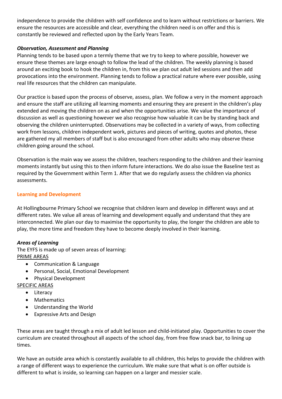independence to provide the children with self confidence and to learn without restrictions or barriers. We ensure the resources are accessible and clear, everything the children need is on offer and this is constantly be reviewed and reflected upon by the Early Years Team.

# *Observation, Assessment and Planning*

Planning tends to be based upon a termly theme that we try to keep to where possible, however we ensure these themes are large enough to follow the lead of the children. The weekly planning is based around an exciting book to hook the children in, from this we plan out adult led sessions and then add provocations into the environment. Planning tends to follow a practical nature where ever possible, using real life resources that the children can manipulate.

Our practice is based upon the process of observe, assess, plan. We follow a very in the moment approach and ensure the staff are utilizing all learning moments and ensuring they are present in the children's play extended and moving the children on as and when the opportunities arise. We value the importance of discussion as well as questioning however we also recognise how valuable it can be by standing back and observing the children uninterrupted. Observations may be collected in a variety of ways, from collecting work from lessons, children independent work, pictures and pieces of writing, quotes and photos, these are gathered my all members of staff but is also encouraged from other adults who may observe these children going around the school.

Observation is the main way we assess the children, teachers responding to the children and their learning moments instantly but using this to then inform future interactions. We do also issue the Baseline test as required by the Government within Term 1. After that we do regularly assess the children via phonics assessments.

# **Learning and Development**

At Hollingbourne Primary School we recognise that children learn and develop in different ways and at different rates. We value all areas of learning and development equally and understand that they are interconnected. We plan our day to maximise the opportunity to play, the longer the children are able to play, the more time and freedom they have to become deeply involved in their learning.

## *Areas of Learning*

The EYFS is made up of seven areas of learning: PRIME AREAS

- Communication & Language
- Personal, Social, Emotional Development
- Physical Development

# SPECIFIC AREAS

- Literacy
- Mathematics
- Understanding the World
- Expressive Arts and Design

These areas are taught through a mix of adult led lesson and child-initiated play. Opportunities to cover the curriculum are created throughout all aspects of the school day, from free flow snack bar, to lining up times.

We have an outside area which is constantly available to all children, this helps to provide the children with a range of different ways to experience the curriculum. We make sure that what is on offer outside is different to what is inside, so learning can happen on a larger and messier scale.